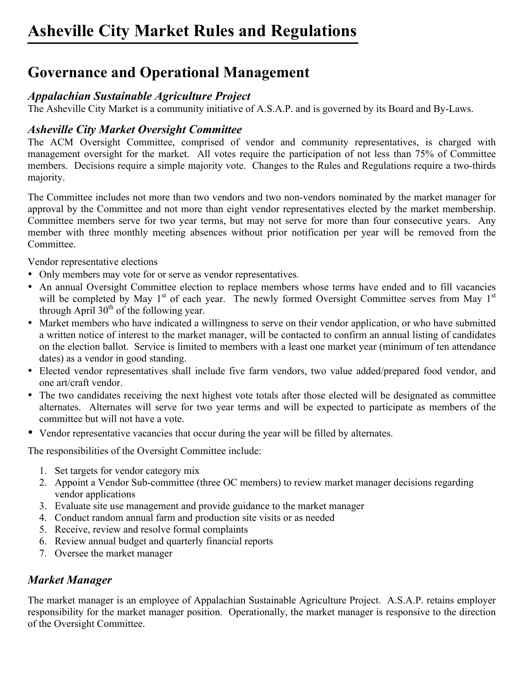## **Governance and Operational Management**

### *Appalachian Sustainable Agriculture Project*

The Asheville City Market is a community initiative of A.S.A.P. and is governed by its Board and By-Laws.

### *Asheville City Market Oversight Committee*

The ACM Oversight Committee, comprised of vendor and community representatives, is charged with management oversight for the market. All votes require the participation of not less than 75% of Committee members. Decisions require a simple majority vote. Changes to the Rules and Regulations require a two-thirds majority.

The Committee includes not more than two vendors and two non-vendors nominated by the market manager for approval by the Committee and not more than eight vendor representatives elected by the market membership. Committee members serve for two year terms, but may not serve for more than four consecutive years. Any member with three monthly meeting absences without prior notification per year will be removed from the Committee.

Vendor representative elections

- Only members may vote for or serve as vendor representatives*.*
- An annual Oversight Committee election to replace members whose terms have ended and to fill vacancies will be completed by May  $1<sup>st</sup>$  of each year. The newly formed Oversight Committee serves from May  $1<sup>st</sup>$ through April  $30<sup>th</sup>$  of the following year.
- Market members who have indicated a willingness to serve on their vendor application, or who have submitted a written notice of interest to the market manager, will be contacted to confirm an annual listing of candidates on the election ballot. Service is limited to members with a least one market year (minimum of ten attendance dates) as a vendor in good standing.
- Elected vendor representatives shall include five farm vendors, two value added/prepared food vendor, and one art/craft vendor.
- The two candidates receiving the next highest vote totals after those elected will be designated as committee alternates. Alternates will serve for two year terms and will be expected to participate as members of the committee but will not have a vote.
- Vendor representative vacancies that occur during the year will be filled by alternates.

The responsibilities of the Oversight Committee include:

- 1. Set targets for vendor category mix
- 2. Appoint a Vendor Sub-committee (three OC members) to review market manager decisions regarding vendor applications
- 3. Evaluate site use management and provide guidance to the market manager
- 4. Conduct random annual farm and production site visits or as needed
- 5. Receive, review and resolve formal complaints
- 6. Review annual budget and quarterly financial reports
- 7. Oversee the market manager

### *Market Manager*

The market manager is an employee of Appalachian Sustainable Agriculture Project. A.S.A.P. retains employer responsibility for the market manager position. Operationally, the market manager is responsive to the direction of the Oversight Committee.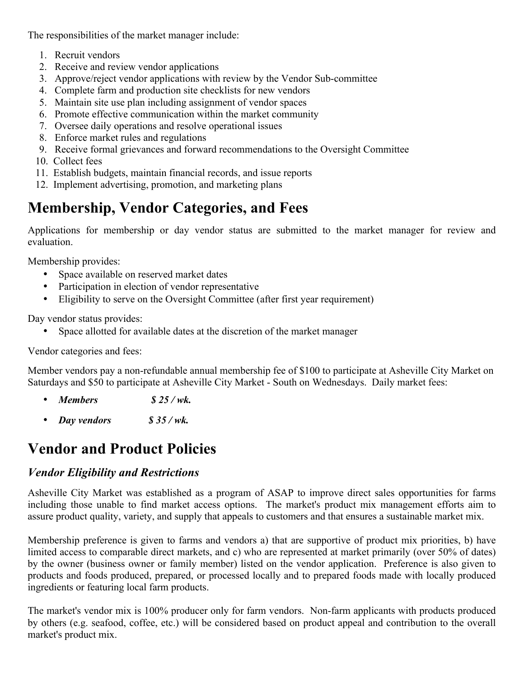The responsibilities of the market manager include:

- 1. Recruit vendors
- 2. Receive and review vendor applications
- 3. Approve/reject vendor applications with review by the Vendor Sub-committee
- 4. Complete farm and production site checklists for new vendors
- 5. Maintain site use plan including assignment of vendor spaces
- 6. Promote effective communication within the market community
- 7. Oversee daily operations and resolve operational issues
- 8. Enforce market rules and regulations
- 9. Receive formal grievances and forward recommendations to the Oversight Committee
- 10. Collect fees
- 11. Establish budgets, maintain financial records, and issue reports
- 12. Implement advertising, promotion, and marketing plans

# **Membership, Vendor Categories, and Fees**

Applications for membership or day vendor status are submitted to the market manager for review and evaluation.

Membership provides:

- Space available on reserved market dates
- Participation in election of vendor representative
- Eligibility to serve on the Oversight Committee (after first year requirement)

Day vendor status provides:

Space allotted for available dates at the discretion of the market manager

Vendor categories and fees:

Member vendors pay a non-refundable annual membership fee of \$100 to participate at Asheville City Market on Saturdays and \$50 to participate at Asheville City Market - South on Wednesdays. Daily market fees:

- *Members \$ 25 / wk.*
- *Day vendors \$ 35 / wk.*

## **Vendor and Product Policies**

#### *Vendor Eligibility and Restrictions*

Asheville City Market was established as a program of ASAP to improve direct sales opportunities for farms including those unable to find market access options. The market's product mix management efforts aim to assure product quality, variety, and supply that appeals to customers and that ensures a sustainable market mix.

Membership preference is given to farms and vendors a) that are supportive of product mix priorities, b) have limited access to comparable direct markets, and c) who are represented at market primarily (over 50% of dates) by the owner (business owner or family member) listed on the vendor application. Preference is also given to products and foods produced, prepared, or processed locally and to prepared foods made with locally produced ingredients or featuring local farm products.

The market's vendor mix is 100% producer only for farm vendors. Non-farm applicants with products produced by others (e.g. seafood, coffee, etc.) will be considered based on product appeal and contribution to the overall market's product mix.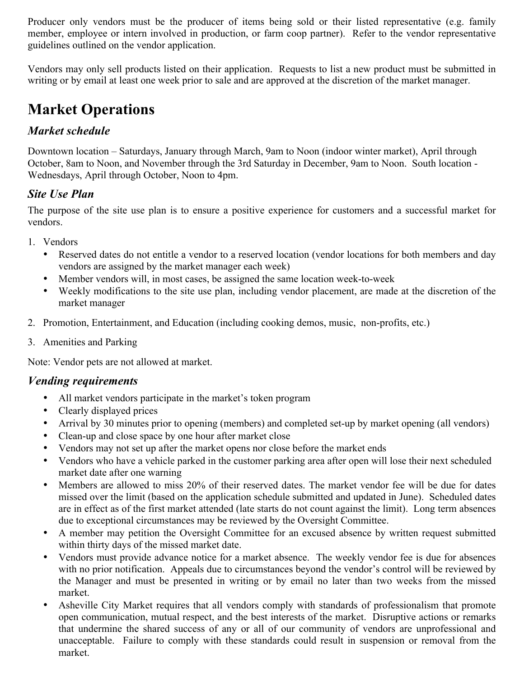Producer only vendors must be the producer of items being sold or their listed representative (e.g. family member, employee or intern involved in production, or farm coop partner). Refer to the vendor representative guidelines outlined on the vendor application.

Vendors may only sell products listed on their application. Requests to list a new product must be submitted in writing or by email at least one week prior to sale and are approved at the discretion of the market manager.

# **Market Operations**

### *Market schedule*

Downtown location – Saturdays, January through March, 9am to Noon (indoor winter market), April through October, 8am to Noon, and November through the 3rd Saturday in December, 9am to Noon. South location - Wednesdays, April through October, Noon to 4pm.

### *Site Use Plan*

The purpose of the site use plan is to ensure a positive experience for customers and a successful market for vendors.

- 1. Vendors
	- Reserved dates do not entitle a vendor to a reserved location (vendor locations for both members and day vendors are assigned by the market manager each week)
	- Member vendors will, in most cases, be assigned the same location week-to-week
	- Weekly modifications to the site use plan, including vendor placement, are made at the discretion of the market manager
- 2. Promotion, Entertainment, and Education (including cooking demos, music, non-profits, etc.)
- 3. Amenities and Parking

Note: Vendor pets are not allowed at market.

#### *Vending requirements*

- All market vendors participate in the market's token program
- Clearly displayed prices
- Arrival by 30 minutes prior to opening (members) and completed set-up by market opening (all vendors)
- Clean-up and close space by one hour after market close
- Vendors may not set up after the market opens nor close before the market ends
- Vendors who have a vehicle parked in the customer parking area after open will lose their next scheduled market date after one warning
- Members are allowed to miss 20% of their reserved dates. The market vendor fee will be due for dates missed over the limit (based on the application schedule submitted and updated in June). Scheduled dates are in effect as of the first market attended (late starts do not count against the limit). Long term absences due to exceptional circumstances may be reviewed by the Oversight Committee.
- A member may petition the Oversight Committee for an excused absence by written request submitted within thirty days of the missed market date.
- Vendors must provide advance notice for a market absence. The weekly vendor fee is due for absences with no prior notification. Appeals due to circumstances beyond the vendor's control will be reviewed by the Manager and must be presented in writing or by email no later than two weeks from the missed market.
- Asheville City Market requires that all vendors comply with standards of professionalism that promote open communication, mutual respect, and the best interests of the market. Disruptive actions or remarks that undermine the shared success of any or all of our community of vendors are unprofessional and unacceptable. Failure to comply with these standards could result in suspension or removal from the market.